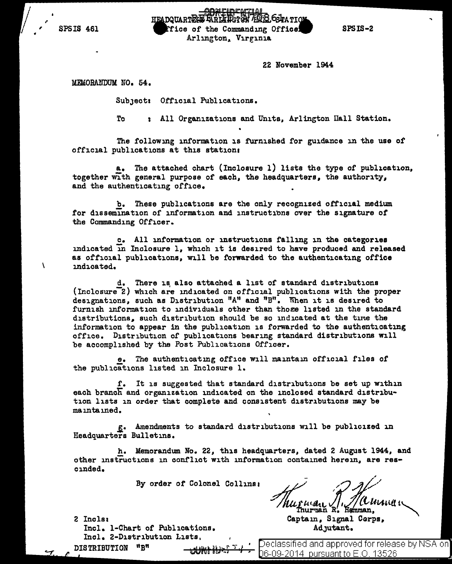SPSIS 461

en COMFIDENTIAL<br>HEADQUARTERS FARLIEST ON ATICS OF THE COMMANDING Office Arlington, Virginia

SPSIS-2

22 November 1944

MEMORANDUM NO. 54.

Subject: Official Publications.

To : All Organizations and Units, Arlington Hall Station.

The following information is furnished for guidance in the use of official publications at this station:

a. The attached chart (Inclosure 1) lists the type of publication, together with general purpose of each, the headquarters, the authority, and the authenticating office.

b. These publications are the only recognized official medium for dissemination of information and instructions over the signature of the Commanding Officer.

c. All information or instructions falling in the categories indicated in Inclosure 1, which it is desired to have produced and released as official publications, will be forwarded to the authenticating office \ indicated.

d. There is also attached a list of standard distributions (Inclosure<sup>-2</sup>) which are indicated on official publications with the proper designations, such as Distribution "A" and "B". When it is desired to furnish information to individuals other than those listed in the standard distributions, such distribution should be so indicated at the time the information to appear in the publication is forwarded to the authenticating office. Distribution of publications bearing standard distributions will be accomplished by the Post Publications Officer.

e. The authenticating office will maintain official files of the publications listed in Inclosure 1.

f. It is suggested that standard distributions be set up within each branch and organization indicated on the inclosed standard distribution lists in order that complete and consistent distributions may be maintained.

.G,• Amendments to standard distributions will be publicized 1n Headquarters Bulletins.

h. Memorandum No. 22, this headquarters, dated 2 August 1944, and other instructions in conflict with information contained herein, are rescinded.

By order of Colonel Collins:

2 Incls1 Incl. 1-Chart of Publications. Incl. 2-Distribution Lists, DISTRIBUTION <sup>\*\*</sup>B"

// Muriuan J, J/ (l 1411) et ...

Captain, Signal Corps, AdJutant.

eclassified and approved for release by NSA on 06-09-2014 pursuant to E.O. 13526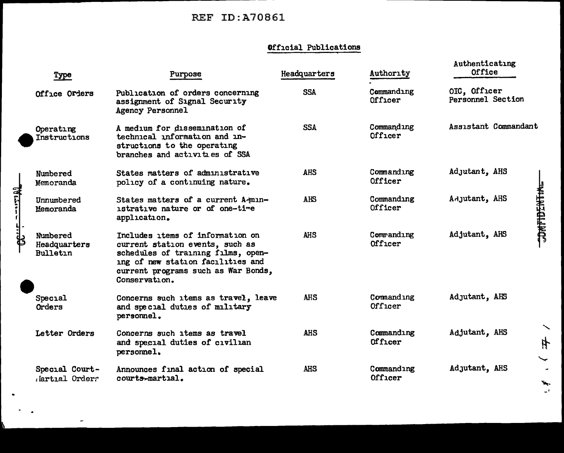# **REF ID:A70861**

 $\overline{\phantom{a}}$ 

# Official Publications

| Туре                                        | Purpose                                                                                                                                                                                                | Headquarters | Authority             | Authenticating<br>Office          |                     |
|---------------------------------------------|--------------------------------------------------------------------------------------------------------------------------------------------------------------------------------------------------------|--------------|-----------------------|-----------------------------------|---------------------|
| Office Orders                               | Publication of orders concerning<br>assignment of Signal Security<br>Agency Personnel                                                                                                                  | <b>SSA</b>   | Commanding<br>Officer | OIC, Officer<br>Personnel Section |                     |
| Operating<br>Instructions                   | A medium for dissemination of<br>technical information and in-<br>structions to the operating<br>branches and activities of SSA                                                                        | <b>SSA</b>   | Commanding<br>Officer | Assistant Commandant              |                     |
| Numbered<br>Memoranda                       | States matters of administrative<br>policy of a continuing nature.                                                                                                                                     | <b>AHS</b>   | Commanding<br>Officer | Adjutant, AHS                     |                     |
| Unnumbered<br>Memoranda                     | States matters of a current A-min-<br>istrative nature or of one-time<br>application.                                                                                                                  | AHS          | Commanding<br>Officer | Adjutant, AHS                     | <b>CONFIDENTING</b> |
| Numbered<br>Headquarters<br><b>Bulletin</b> | Includes items of information on<br>current station events, such as<br>schedules of training films, open-<br>ing of new station facilities and<br>current programs such as War Bonds,<br>Conservation. | <b>AHS</b>   | Commanding<br>Officer | Adjutant, AHS                     |                     |
| Special<br>Orders                           | Concerns such items as travel, leave<br>and special duties of military<br>personnel.                                                                                                                   | <b>AHS</b>   | Commanding<br>Officer | Adjutant, AHS                     |                     |
| Letter Orders                               | Concerns such items as travel<br>and special duties of civilian<br>personnel.                                                                                                                          | <b>AHS</b>   | Commanding<br>Officer | Adjutant, AHS                     | ╲<br>4<br>╰         |
| Special Court-<br>Jartial Orders            | Announces final action of special<br>courts-martial.                                                                                                                                                   | <b>AHS</b>   | Commanding<br>Officer | Adjutant, AHS                     | ۰.                  |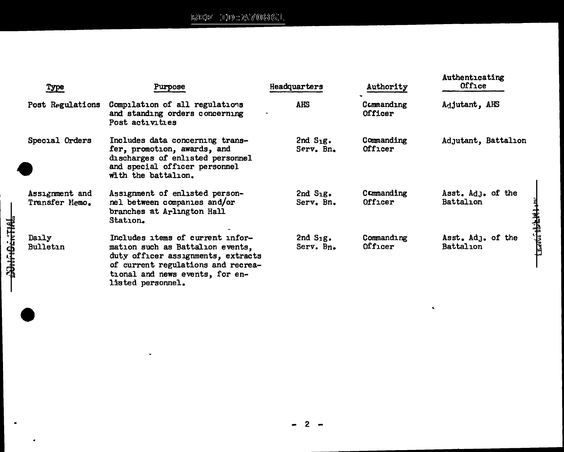# $\text{BSE}(\mathbb{H}^{\ast}_{\bullet} \cup \mathbb{H}) \otimes \text{EVar}(\mathbb{H}_{\bullet})$

 $\blacksquare$ 

**CONTENTIAL** 

 $\bullet$ 

| <b>Type</b>                      | <b>Purpose</b>                                                                                                                                                                                           | Headquarters                | Authority                    | Authenticating<br>Office       |
|----------------------------------|----------------------------------------------------------------------------------------------------------------------------------------------------------------------------------------------------------|-----------------------------|------------------------------|--------------------------------|
| Post Regulations                 | Compilation of all regulations<br>and standing orders concerning<br>Post activities                                                                                                                      | <b>AHS</b>                  | Commanding<br><b>Officer</b> | Adjutant, AHS                  |
| Special Orders                   | Includes data concerning trans-<br>fer, promotion, awards, and<br>discharges of enlisted personnel<br>and special officer personnel<br>with the battalion.                                               | $2ndS1g$ .<br>Serv. Bn.     | Commanding<br>Officer        | Adjutant, Battalion            |
| Assignment and<br>Transfer Nemo. | Assignment of enlisted person-<br>nel between companies and/or<br>branches at Arlington Hall<br>Station.                                                                                                 | $2nd$ $S_1g$ .<br>Serv. Bn. | Commanding<br>Officer        | Asst. Adj. of the<br>Battalion |
| Daily<br>Bulletin                | Includes items of current infor-<br>mation such as Battalion events,<br>duty officer assignments, extracts<br>of current regulations and recrea-<br>tional and news events, for en-<br>listed personnel. | 2nd $S_{1}g$ .<br>Serv. Bn. | Commanding<br>Officer        | Asst. Adj. of the<br>Battalion |

 $\tilde{\mathbf{v}}$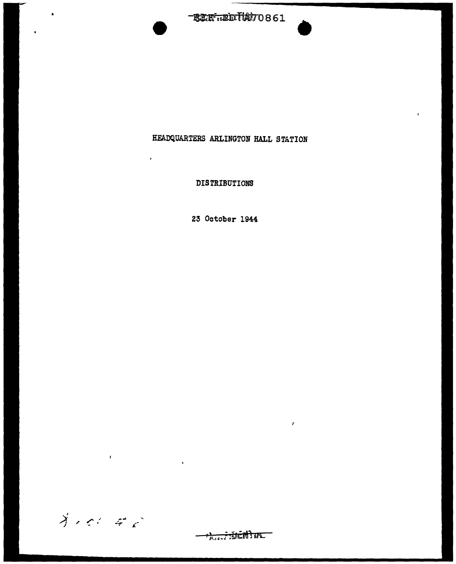$-$ ETF $\overline{\text{u}}$ ID $\overline{\text{t}}$ A $\overline{\text{v}}$ O861

## HEADQUARTERS ARLINGTON HALL STATION

Ŷ.

DISTRIBUTIONS

 $\mathbf{r}^{\prime}$ 

23 October 1944

 $\bigvee_{i=1}^{n} \mathbb{Z}^{n_i} \subseteq \mathbb{Z}^{n_i}$ 

 $\pmb{\cdot}$ 

 $\Delta$ 

**ALLE WENTHY** 

 $\hat{\textbf{r}}$ 

 $\pmb{\epsilon}$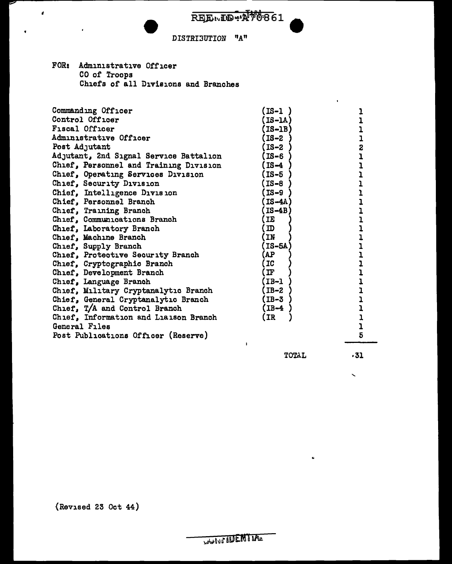$R_{\rm H}$  $R_{\rm H}$  $R_{\rm H}$  $R_{\rm H}$  $R_{\rm H}$  $R_{\rm H}$  $R_{\rm H}$  $R_{\rm H}$  $R_{\rm H}$  $R_{\rm H}$  $R_{\rm H}$  $R_{\rm H}$  $R_{\rm H}$  $R_{\rm H}$ 

### DISTRIBUTION "A"

FOR: Administrative Officer CO or Troops Chiefs or all Divisions and Branches

 $\epsilon$ 

| Commanding Officer                     | [IS-1 ]       |   |
|----------------------------------------|---------------|---|
| Control Officer                        | $IS-IA$       |   |
| <b>Fiscal Officer</b>                  | $I$ S-1B)     |   |
| Administrative Officer                 | $IS-2$        |   |
| Post Adjutant                          | $IS-2$        | 2 |
| Adjutant, 2nd Signal Service Battalion | $IS-6$        |   |
| Chief, Personnel and Training Division | (IS-4)        |   |
| Chief, Operating Services Division     | (IS-5         |   |
| Chief, Security Division               | (IS-8         |   |
| Chief, Intelligence Division           | $IS-9$        |   |
| Chief, Personnel Branch                | $IS-4A$       |   |
| Chief, Training Branch                 | IS-4B         |   |
| Chief, Communications Branch           | IE            |   |
| Chief, Laboratory Branch               | $\mathbf D$   |   |
| Chief, Machine Branch                  | IN            |   |
| Chief, Supply Branch                   | IS-5A         |   |
| Chief, Protective Security Branch      | AP)           |   |
| Chief, Cryptographic Branch            | IC            |   |
| Chief, Development Branch              | $\mathbf{I}$  |   |
| Chief, Language Branch                 | $IB-1$        |   |
| Chief, Military Cryptanalytic Branch   | (IB-2         |   |
| Chief, General Cryptanalytic Branch    | (IB-3         |   |
| Chief, T/A and Control Branch          | (IB <b>-4</b> |   |
| Chief, Information and Liaison Branch  | (IR           |   |
| General Files                          |               |   |
| Post Publications Officer (Reserve)    |               | 5 |

TOTAL

ċ.

 $\mathbf{r}$ 

·31

 $\ddot{\phantom{0}}$ 

{Revised 23 Oct 44)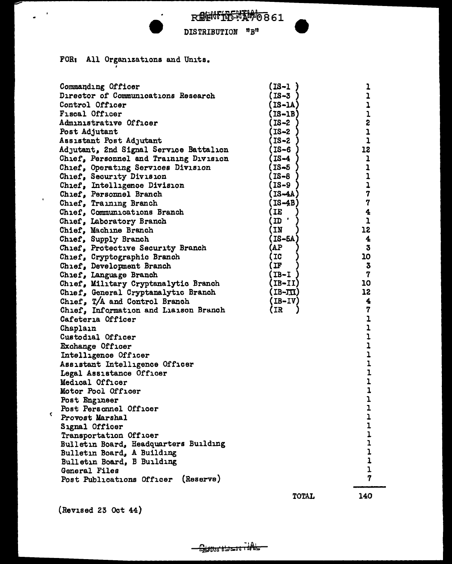

DISTRIBUTION "B"

FOR: All Organizations and Units.

 $\bullet$ 

 $\mathcal{L}^{\text{out}}$ 

 $\overline{a}$ 

 $\bar{\mathbf{C}}$ 

| Commanding Officer                     | (IS-1)     | ı                    |
|----------------------------------------|------------|----------------------|
| Director of Communications Research    | $IS-3$     | ı                    |
| Control Officer                        | $IS-IA$ )  | ı                    |
| <b>Fiscal Officer</b>                  | (IS-1B)    | ı                    |
| Administrative Officer                 | $IS-2$     | 2                    |
| Post Adjutant                          | IS-2       | $\overline{1}$       |
| Assistant Post Adjutant                | IS-2       | $\mathbf 1$          |
| Adjutant, 2nd Signal Service Battalion | $IS-6$     | 12                   |
| Chief, Personnel and Training Division | (IS-4      | ı                    |
| Chief, Operating Services Division     | (IS-5      | 1                    |
| Chief, Security Division               | (IS-8      | ı                    |
| Chief, Intelligence Division           | (IS-9      | ı                    |
| Chief, Personnel Branch                | (IS-4A)    | 7                    |
| Chief, Training Branch                 | [IS-4B]    | 7                    |
| Chief, Communications Branch           | IE         | 4                    |
| Chief, Laboratory Branch               | ID '       | 1                    |
| Chief, Machine Branch                  | IN         | 12                   |
| Chief, Supply Branch                   | IS-5A      | $\blacktriangleleft$ |
| Chief, Protective Security Branch      | AP)        | $\bf{3}$             |
| Chief, Cryptographic Branch            | <b>IC</b>  | 10                   |
| Chief, Development Branch              | IF         | 3                    |
| Chief, Language Branch                 | (IB-I      | 7                    |
| Chief, Military Cryptanalytic Branch   | (IB-II)    | 10                   |
| Chief, General Cryptanalytic Branch    | $(ID-TII)$ | 12                   |
| Chief, T/A and Control Branch          | (IB-IV)    | 4                    |
| Chief, Information and Liaison Branch  | (IR        | 7                    |
| Cafeteria Officer                      |            | ı                    |
| Chaplain                               |            | ı                    |
| Custodial Officer                      |            | ı                    |
| Exchange Officer                       |            | ı                    |
| Intelligence Officer                   |            | ı                    |
| Assistant Intelligence Officer         |            | ı                    |
| Legal Assistance Officer               |            | 1                    |
| Medical Officer                        |            | ı                    |
| Motor Pool Officer                     |            | $\mathbf{1}$         |
| Post Engineer                          |            | ı                    |
| Post Personnel Officer                 |            | $\mathbf{I}$         |
| Provost Marshal                        |            | ı                    |
| Signal Officer                         |            | ı                    |
| Transportation Officer                 |            | 1                    |
| Bulletin Board, Headquarters Building  |            | $\mathbf{1}$         |
| Bulletin Board, A Building             |            | $\mathbf{1}$         |
| Bulletin Board, B Building             |            | $\mathbf{1}$         |
| General Files                          |            | $\mathbf 1$          |
| (Reserve)<br>Post Publications Officer |            | 7                    |
|                                        | TOTAL      | 140                  |

(Revised 23 Oct 44)

140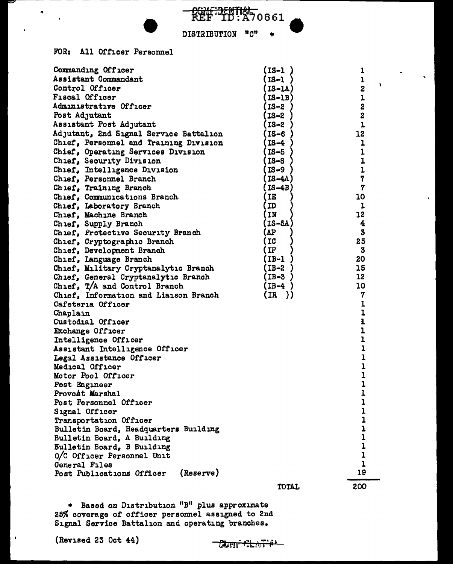

DISTRIBUTION יים י

## FOR: All Officer Personnel

 $\tilde{\mathbf{a}}$ 

| Commanding Officer                     | (IS-1 )        | 1                                          |  |  |
|----------------------------------------|----------------|--------------------------------------------|--|--|
| Assistant Commandant                   | (IS-1          | $\mathbf{I}$                               |  |  |
| Control Officer                        | <b>IS-1A)</b>  | $\overline{\mathbf{z}}$                    |  |  |
| Fiscal Officer                         | (IS-1B)        |                                            |  |  |
| Administrative Officer                 | (IS-2          | $\begin{array}{c} 1 \\ 2 \\ 2 \end{array}$ |  |  |
| Post Adjutant                          | (IS-2          |                                            |  |  |
| Assistant Post Adjutant                | $IS-2$         | $\mathbf{1}$                               |  |  |
| Adjutant, 2nd Signal Service Battalion | $I$ S-6        | 12                                         |  |  |
| Chief, Personnel and Training Division | IS-4           | ı                                          |  |  |
| Chief, Operating Services Division     | $IS-5$         | $\mathbf{1}$                               |  |  |
| Chief, Security Division               | (IS-8          | $\mathbf{I}$                               |  |  |
| Chief, Intelligence Division           | (IS-9          | $\mathbf 1$                                |  |  |
| Chief, Personnel Branch                | <b>(IS-4A)</b> | 7                                          |  |  |
| Chief, Training Branch                 | $IS-4B$        | $\overline{7}$                             |  |  |
| Chief, Communications Branch           | IE             | 10                                         |  |  |
| Chief, Laboratory Branch               | <b>ID</b>      | $\mathbf{I}$                               |  |  |
| Chief, Machine Branch                  | IN             | 12                                         |  |  |
| Chief, Supply Branch                   | <b>IS-5A</b>   | 4                                          |  |  |
| Chief, Protective Security Branch      | (AP            | 3                                          |  |  |
| Chief, Cryptographic Branch            | IC             | 25                                         |  |  |
| Chief, Development Branch              | IF             | 3                                          |  |  |
| Chief, Language Branch                 | (IB-1          | 20                                         |  |  |
| Chief, Military Cryptanalytic Branch   | (IB-2          | 15                                         |  |  |
| Chief, General Cryptanalytic Branch    | (IB-3          | 12                                         |  |  |
| Chief, T/A and Control Branch          | (IB-4          | 10                                         |  |  |
| Chief, Information and Liaison Branch  | (IR)           | 7                                          |  |  |
| Cafeteria Officer                      |                | ı                                          |  |  |
| Chaplain                               |                | $\overline{1}$                             |  |  |
| Custodial Officer                      |                | 1                                          |  |  |
| Exchange Officer                       |                | ı                                          |  |  |
| $\mathbf{I}$<br>Intelligence Officer   |                |                                            |  |  |
| Assistant Intelligence Officer         |                |                                            |  |  |
| Legal Assistance Officer               |                | $\overline{1}$<br>$\overline{\mathbf{1}}$  |  |  |
| Medical Officer                        |                | $\overline{1}$                             |  |  |
| Motor Pool Officer                     |                | $\overline{1}$                             |  |  |
| Post Engineer                          |                | 1                                          |  |  |
| Provost Marshal                        |                | $\mathbf{I}$                               |  |  |
| Post Personnel Officer                 |                | 1                                          |  |  |
| Signal Officer                         |                | ı                                          |  |  |
| Transportation Officer                 |                | ı                                          |  |  |
| Bulletin Board, Headquarters Building  |                | ı                                          |  |  |
| Bulletin Board, A Building             |                | ı                                          |  |  |
| <b>Bulletin Board, B Building</b>      |                | 1                                          |  |  |
| O/C Officer Personnel Unit             |                | ı                                          |  |  |
| General Files                          |                | 1                                          |  |  |
| (Reserve)<br>Post Publications Officer |                | 19                                         |  |  |
|                                        |                |                                            |  |  |
|                                        | TOTAL          | 200                                        |  |  |

\* Based on Distribution "B" plus approximate<br>25% coverage of officer personnel assigned to 2nd<br>Signal Service Battalion and operating branches.

(Revised 23 Oct 44)

 $\mathbf{r}$ 

ᠯᢠᠷᠷᢠᠮ ততচ্যা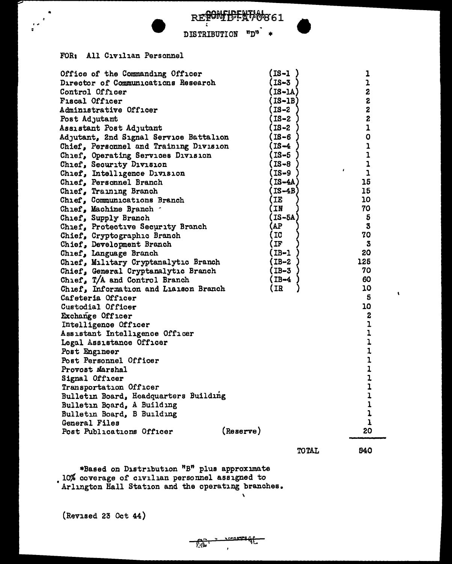| RETONIUTENVO861 |
|-----------------|
|                 |

#### $"D"$  \* DISTRIBUTION

#### FOR: All Civilian Personnel

 $\bullet$ 

| Office of the Commanding Officer          | $IS - 1$    | 1                            |
|-------------------------------------------|-------------|------------------------------|
| Director of Communications Research       | (IS-3       | ı                            |
| Control Officer                           | (IS-1A)     | 2                            |
| <b>Fiscal Officer</b>                     | $($ IS-1B)  | $\mathbf{z}$                 |
| Administrative Officer                    | (IS-2       | $\mathbf{z}$                 |
| Post Adjutant                             | (IS-2       | 2                            |
| Assistant Post Adjutant                   | (IS-2       | $\mathbf 1$                  |
| Adjutant, 2nd Signal Service Battalion    | $($ IS $-6$ | 0                            |
| Chief, Personnel and Training Division    | (IS-4       | $\mathbf{I}$                 |
| Chief, Operating Services Division        | (IS-5       | 1                            |
| Chief, Security Division                  | (IS-8       | $\mathbf 1$                  |
| Chief, Intelligence Division              | (IS-9       | f.<br>$\mathbf{I}$           |
| Chief, Personnel Branch                   | (IS-4A      | 15                           |
| Chief, Training Branch                    | (IS-4B      | 15                           |
| Chief, Communications Branch              | (IE         | 10                           |
| Chief, Machine Branch                     | (IN         | 70                           |
| Chief, Supply Branch                      | (IS-5A      | 5                            |
| Chief, Protective Security Branch         | (AP         | 3                            |
| Chief, Cryptographic Branch               | (IC         | 70                           |
| Chief, Development Branch                 | (IF         | 3                            |
| Chief, Language Branch                    | $(IB-1)$    | 20                           |
| Chief, Military Cryptanalytic Branch      | $(IB-2)$    | 125                          |
| Chief, General Cryptanalytic Branch       | $(IB-3)$    | 70                           |
| Chief, T/A and Control Branch             | (IB-4       | 60                           |
| Chief, Information and Liaison Branch     | (IR         | 10                           |
| Cafeteria Officer                         |             | 5                            |
| Custodial Officer                         |             | 10                           |
| Exchange Officer                          |             | $\boldsymbol{2}$             |
| Intelligence Officer                      |             | $\mathbf 1$                  |
| Assistant Intelligence Officer            |             | $\mathbf 1$                  |
| Legal Assistance Officer                  |             | ı                            |
| Post Engineer                             |             | $\mathbf 1$                  |
| Post Personnel Officer<br>Provost Marshal |             | $\mathbf{1}$<br>$\mathbf{1}$ |
| Signal Officer                            |             | $\mathbf 1$                  |
| Transportation Officer                    |             | $\mathbf{1}$                 |
| Bulletin Board, Headquarters Building     |             |                              |
| Bulletin Board, A Building                |             | $\frac{1}{1}$                |
| Bulletin Board, B Building                |             | $\mathbf 1$                  |
| General Files                             |             | $\mathbf{1}$                 |
| Post Publications Officer                 | (Reserve)   | 20                           |
|                                           |             |                              |

 $\overline{\mathbf{v}}$ 

 $\frac{1}{2}$ 

**TOTAL** 

540

 $\pmb{\mathsf{t}}$ 

\*Based on Distribution "B" plus approximate<br>10% coverage of civilian personnel assigned to<br>Arlington Hall Station and the operating branches.

(Revised 23 Oct 44)